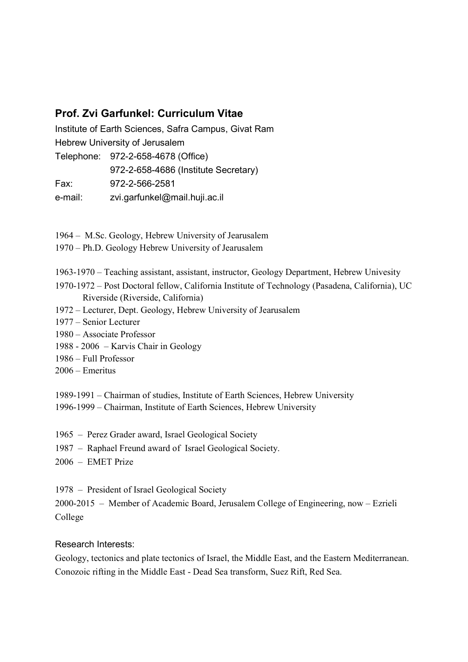## Prof. Zvi Garfunkel: Curriculum Vitae

Institute of Earth Sciences, Safra Campus, Givat Ram Hebrew University of Jerusalem Telephone: 972-2-658-4678 (Office)

972-2-658-4686 (Institute Secretary)

Fax: 972-2-566-2581

e-mail: zvi.garfunkel@mail.huji.ac.il

1964 – M.Sc. Geology, Hebrew University of Jearusalem

- 1970 Ph.D. Geology Hebrew University of Jearusalem
- 1963-1970 Teaching assistant, assistant, instructor, Geology Department, Hebrew Univesity
- 1970-1972 Post Doctoral fellow, California Institute of Technology (Pasadena, California), UC Riverside (Riverside, California)
- 1972 Lecturer, Dept. Geology, Hebrew University of Jearusalem
- 1977 Senior Lecturer
- 1980 Associate Professor
- 1988 2006 Karvis Chair in Geology
- 1986 Full Professor
- 2006 Emeritus

1989-1991 – Chairman of studies, Institute of Earth Sciences, Hebrew University

- 1996-1999 Chairman, Institute of Earth Sciences, Hebrew University
- 1965 Perez Grader award, Israel Geological Society
- 1987 Raphael Freund award of Israel Geological Society.
- 2006 EMET Prize

1978 – President of Israel Geological Society

2000-2015 – Member of Academic Board, Jerusalem College of Engineering, now – Ezrieli College

## Research Interests:

Geology, tectonics and plate tectonics of Israel, the Middle East, and the Eastern Mediterranean. Conozoic rifting in the Middle East - Dead Sea transform, Suez Rift, Red Sea.